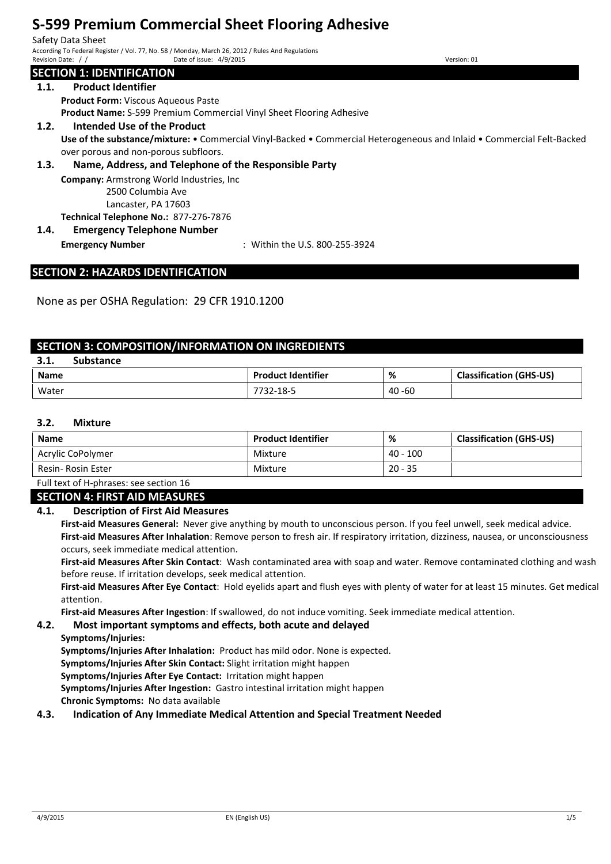Safety Data Sheet According To Federal Register / Vol. 77, No. 58 / Monday, March 26, 2012 / Rules And Regulations Date of issue: 4/9/2015

# **SECTION 1: IDENTIFICATION**

### **1.1. Product Identifier**

**Product Form:** Viscous Aqueous Paste **Product Name:** S-599 Premium Commercial Vinyl Sheet Flooring Adhesive

**1.2. Intended Use of the Product**

**Use of the substance/mixture:** • Commercial Vinyl-Backed • Commercial Heterogeneous and Inlaid • Commercial Felt-Backed over porous and non-porous subfloors.

### **1.3. Name, Address, and Telephone of the Responsible Party**

**Company:** Armstrong World Industries, Inc 2500 Columbia Ave

Lancaster, PA 17603

**Technical Telephone No.:** 877-276-7876

# **1.4. Emergency Telephone Number**

**Emergency Number** : Within the U.S. 800-255-3924

# **SECTION 2: HAZARDS IDENTIFICATION**

None as per OSHA Regulation: 29 CFR 1910.1200

## **SECTION 3: COMPOSITION/INFORMATION ON INGREDIENTS**

| 2 <sub>1</sub><br>э.т. | <b>Substance</b> |                           |           |                                |
|------------------------|------------------|---------------------------|-----------|--------------------------------|
| <b>Name</b>            |                  | <b>Product Identifier</b> | %         | <b>Classification (GHS-US)</b> |
| Water                  |                  | 7732-18-5                 | $40 - 60$ |                                |

### **3.2. Mixture**

| <b>Name</b>        | <b>Product Identifier</b> | %          | <b>Classification (GHS-US)</b> |
|--------------------|---------------------------|------------|--------------------------------|
| Acrylic CoPolymer  | Mixture                   | $40 - 100$ |                                |
| Resin- Rosin Ester | Mixture                   | $20 - 35$  |                                |

Full text of H-phrases: see section 16

#### **SECTION 4: FIRST AID MEASURES**

#### **4.1. Description of First Aid Measures**

**First-aid Measures General:** Never give anything by mouth to unconscious person. If you feel unwell, seek medical advice. **First-aid Measures After Inhalation**: Remove person to fresh air. If respiratory irritation, dizziness, nausea, or unconsciousness occurs, seek immediate medical attention.

**First-aid Measures After Skin Contact**: Wash contaminated area with soap and water. Remove contaminated clothing and wash before reuse. If irritation develops, seek medical attention.

**First-aid Measures After Eye Contact**: Hold eyelids apart and flush eyes with plenty of water for at least 15 minutes. Get medical attention.

**First-aid Measures After Ingestion**: If swallowed, do not induce vomiting. Seek immediate medical attention.

#### **4.2. Most important symptoms and effects, both acute and delayed**

**Symptoms/Injuries:** 

**Symptoms/Injuries After Inhalation:** Product has mild odor. None is expected.

**Symptoms/Injuries After Skin Contact:** Slight irritation might happen

**Symptoms/Injuries After Eye Contact:** Irritation might happen

**Symptoms/Injuries After Ingestion:** Gastro intestinal irritation might happen

**Chronic Symptoms:** No data available

#### **4.3. Indication of Any Immediate Medical Attention and Special Treatment Needed**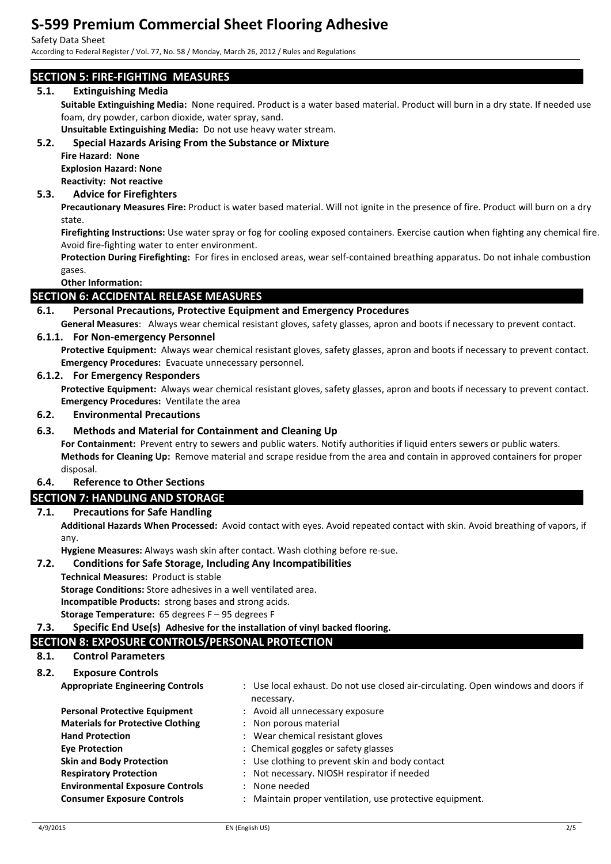#### Safety Data Sheet

According to Federal Register / Vol. 77, No. 58 / Monday, March 26, 2012 / Rules and Regulations

# **SECTION 5: FIRE-FIGHTING MEASURES**

## **5.1. Extinguishing Media**

**Suitable Extinguishing Media:** None required. Product is a water based material. Product will burn in a dry state. If needed use foam, dry powder, carbon dioxide, water spray, sand.

**Unsuitable Extinguishing Media:** Do not use heavy water stream.

## **5.2. Special Hazards Arising From the Substance or Mixture**

**Fire Hazard: None Explosion Hazard: None Reactivity: Not reactive**

# **5.3. Advice for Firefighters**

**Precautionary Measures Fire:** Product is water based material. Will not ignite in the presence of fire. Product will burn on a dry state.

**Firefighting Instructions:** Use water spray or fog for cooling exposed containers. Exercise caution when fighting any chemical fire. Avoid fire-fighting water to enter environment.

**Protection During Firefighting:** For fires in enclosed areas, wear self-contained breathing apparatus. Do not inhale combustion gases.

#### **Other Information:**

## **SECTION 6: ACCIDENTAL RELEASE MEASURES**

### **6.1. Personal Precautions, Protective Equipment and Emergency Procedures**

**General Measures**: Always wear chemical resistant gloves, safety glasses, apron and boots if necessary to prevent contact.

### **6.1.1. For Non-emergency Personnel**

**Protective Equipment:** Always wear chemical resistant gloves, safety glasses, apron and boots if necessary to prevent contact. **Emergency Procedures:** Evacuate unnecessary personnel.

#### **6.1.2. For Emergency Responders**

**Protective Equipment:** Always wear chemical resistant gloves, safety glasses, apron and boots if necessary to prevent contact. **Emergency Procedures:** Ventilate the area

### **6.2. Environmental Precautions**

### **6.3. Methods and Material for Containment and Cleaning Up**

**For Containment:** Prevent entry to sewers and public waters. Notify authorities if liquid enters sewers or public waters. **Methods for Cleaning Up:** Remove material and scrape residue from the area and contain in approved containers for proper disposal.

## **6.4. Reference to Other Sections**

# **SECTION 7: HANDLING AND STORAGE**

## **7.1. Precautions for Safe Handling**

**Additional Hazards When Processed:** Avoid contact with eyes. Avoid repeated contact with skin. Avoid breathing of vapors, if any.

**Hygiene Measures:** Always wash skin after contact. Wash clothing before re-sue.

#### **7.2. Conditions for Safe Storage, Including Any Incompatibilities**

#### **Technical Measures:** Product is stable

**Storage Conditions:** Store adhesives in a well ventilated area.

**Incompatible Products:** strong bases and strong acids.

```
Storage Temperature: 65 degrees F – 95 degrees F
```
#### **7.3. Specific End Use(s) Adhesive for the installation of vinyl backed flooring.**

# **SECTION 8: EXPOSURE CONTROLS/PERSONAL PROTECTION**

## **8.1. Control Parameters**

#### **8.2. Exposure Controls**

| <b>Appropriate Engineering Controls</b>  | : Use local exhaust. Do not use closed air-circulating. Open windows and doors if |
|------------------------------------------|-----------------------------------------------------------------------------------|
| <b>Personal Protective Equipment</b>     | necessary.<br>: Avoid all unnecessary exposure                                    |
| <b>Materials for Protective Clothing</b> | : Non porous material                                                             |
| <b>Hand Protection</b>                   | : Wear chemical resistant gloves                                                  |
| <b>Eve Protection</b>                    | : Chemical goggles or safety glasses                                              |
| <b>Skin and Body Protection</b>          | : Use clothing to prevent skin and body contact                                   |
| <b>Respiratory Protection</b>            | : Not necessary. NIOSH respirator if needed                                       |
| <b>Environmental Exposure Controls</b>   | : None needed                                                                     |
| <b>Consumer Exposure Controls</b>        | : Maintain proper ventilation, use protective equipment.                          |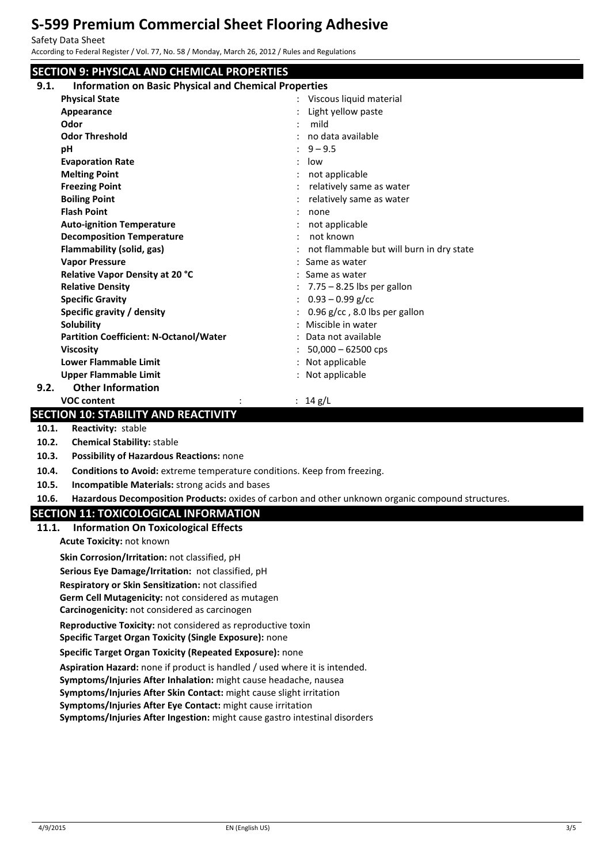Safety Data Sheet

|       | According to Federal Register / Vol. 77, No. 58 / Monday, March 26, 2012 / Rules and Regulations  |                                          |  |  |
|-------|---------------------------------------------------------------------------------------------------|------------------------------------------|--|--|
|       | <b>SECTION 9: PHYSICAL AND CHEMICAL PROPERTIES</b>                                                |                                          |  |  |
| 9.1.  | <b>Information on Basic Physical and Chemical Properties</b>                                      |                                          |  |  |
|       | <b>Physical State</b>                                                                             | Viscous liquid material                  |  |  |
|       | Appearance                                                                                        | Light yellow paste                       |  |  |
|       | Odor                                                                                              | mild<br>$\ddot{\phantom{a}}$             |  |  |
|       | <b>Odor Threshold</b>                                                                             | no data available                        |  |  |
|       | pH                                                                                                | $9 - 9.5$                                |  |  |
|       | <b>Evaporation Rate</b>                                                                           | low                                      |  |  |
|       | <b>Melting Point</b>                                                                              | not applicable                           |  |  |
|       | <b>Freezing Point</b>                                                                             | relatively same as water                 |  |  |
|       | <b>Boiling Point</b>                                                                              | relatively same as water                 |  |  |
|       | <b>Flash Point</b>                                                                                | none                                     |  |  |
|       | <b>Auto-ignition Temperature</b>                                                                  | not applicable<br>not known              |  |  |
|       | <b>Decomposition Temperature</b><br>Flammability (solid, gas)                                     | not flammable but will burn in dry state |  |  |
|       | <b>Vapor Pressure</b>                                                                             | : Same as water                          |  |  |
|       | Relative Vapor Density at 20 °C                                                                   | Same as water                            |  |  |
|       | <b>Relative Density</b>                                                                           | $7.75 - 8.25$ lbs per gallon             |  |  |
|       | <b>Specific Gravity</b>                                                                           | $0.93 - 0.99$ g/cc                       |  |  |
|       | Specific gravity / density                                                                        | 0.96 g/cc, 8.0 lbs per gallon            |  |  |
|       | <b>Solubility</b>                                                                                 | Miscible in water                        |  |  |
|       | <b>Partition Coefficient: N-Octanol/Water</b>                                                     | Data not available                       |  |  |
|       | <b>Viscosity</b>                                                                                  | $50,000 - 62500$ cps                     |  |  |
|       | <b>Lower Flammable Limit</b>                                                                      | Not applicable                           |  |  |
|       | <b>Upper Flammable Limit</b>                                                                      | : Not applicable                         |  |  |
| 9.2.  | <b>Other Information</b>                                                                          |                                          |  |  |
|       | <b>VOC content</b>                                                                                | : $14 g/L$                               |  |  |
|       | <b>SECTION 10: STABILITY AND REACTIVITY</b>                                                       |                                          |  |  |
| 10.1. | Reactivity: stable                                                                                |                                          |  |  |
| 10.2. | <b>Chemical Stability: stable</b>                                                                 |                                          |  |  |
| 10.3. | Possibility of Hazardous Reactions: none                                                          |                                          |  |  |
| 10.4. | Conditions to Avoid: extreme temperature conditions. Keep from freezing.                          |                                          |  |  |
| 10.5. | Incompatible Materials: strong acids and bases                                                    |                                          |  |  |
| 10.6. | Hazardous Decomposition Products: oxides of carbon and other unknown organic compound structures. |                                          |  |  |
|       | <b>SECTION 11: TOXICOLOGICAL INFORMATION</b>                                                      |                                          |  |  |
| 11.1. | <b>Information On Toxicological Effects</b>                                                       |                                          |  |  |
|       | Acute Toxicity: not known                                                                         |                                          |  |  |
|       | Skin Corrosion/Irritation: not classified, pH                                                     |                                          |  |  |
|       | Serious Eye Damage/Irritation: not classified, pH                                                 |                                          |  |  |
|       | Respiratory or Skin Sensitization: not classified                                                 |                                          |  |  |
|       | Germ Cell Mutagenicity: not considered as mutagen                                                 |                                          |  |  |
|       | Carcinogenicity: not considered as carcinogen                                                     |                                          |  |  |
|       | Reproductive Toxicity: not considered as reproductive toxin                                       |                                          |  |  |
|       | Specific Target Organ Toxicity (Single Exposure): none                                            |                                          |  |  |
|       | Specific Target Organ Toxicity (Repeated Exposure): none                                          |                                          |  |  |
|       | Aspiration Hazard: none if product is handled / used where it is intended.                        |                                          |  |  |
|       | Symptoms/Injuries After Inhalation: might cause headache, nausea                                  |                                          |  |  |
|       | Symptoms/Injuries After Skin Contact: might cause slight irritation                               |                                          |  |  |
|       | Symptoms/Injuries After Eye Contact: might cause irritation                                       |                                          |  |  |
|       | Symptoms/Injuries After Ingestion: might cause gastro intestinal disorders                        |                                          |  |  |
|       |                                                                                                   |                                          |  |  |
|       |                                                                                                   |                                          |  |  |
|       |                                                                                                   |                                          |  |  |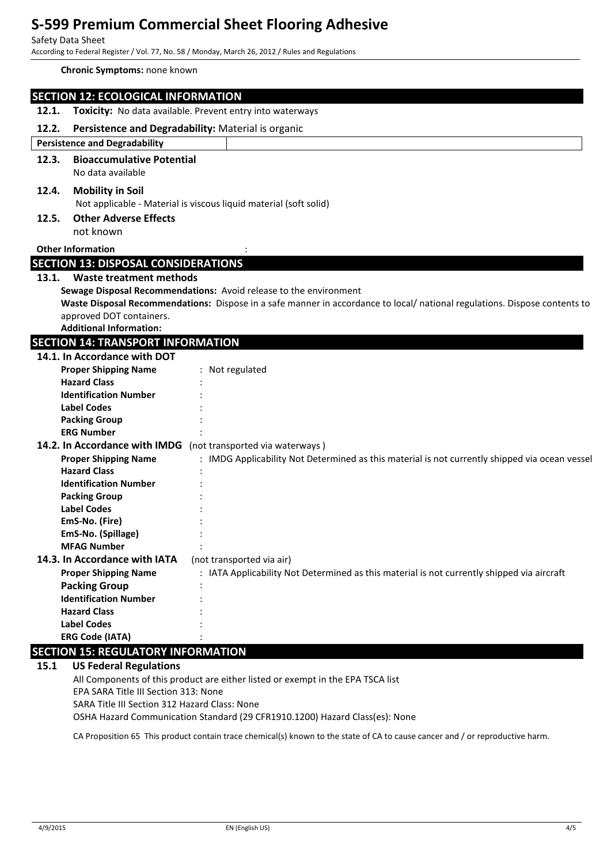#### Safety Data Sheet

According to Federal Register / Vol. 77, No. 58 / Monday, March 26, 2012 / Rules and Regulations

#### **Chronic Symptoms:** none known

| <b>SECTION 12: ECOLOGICAL INFORMATION</b>                     |                                                                                                                           |  |  |
|---------------------------------------------------------------|---------------------------------------------------------------------------------------------------------------------------|--|--|
| 12.1.                                                         | Toxicity: No data available. Prevent entry into waterways                                                                 |  |  |
| 12.2.                                                         | Persistence and Degradability: Material is organic                                                                        |  |  |
| <b>Persistence and Degradability</b>                          |                                                                                                                           |  |  |
| <b>Bioaccumulative Potential</b><br>12.3.                     |                                                                                                                           |  |  |
| No data available                                             |                                                                                                                           |  |  |
| 12.4.<br><b>Mobility in Soil</b>                              |                                                                                                                           |  |  |
|                                                               | Not applicable - Material is viscous liquid material (soft solid)                                                         |  |  |
| <b>Other Adverse Effects</b><br>12.5.                         |                                                                                                                           |  |  |
| not known                                                     |                                                                                                                           |  |  |
| <b>Other Information</b>                                      |                                                                                                                           |  |  |
| <b>SECTION 13: DISPOSAL CONSIDERATIONS</b>                    |                                                                                                                           |  |  |
| <b>Waste treatment methods</b><br>13.1.                       |                                                                                                                           |  |  |
|                                                               | Sewage Disposal Recommendations: Avoid release to the environment                                                         |  |  |
|                                                               | Waste Disposal Recommendations: Dispose in a safe manner in accordance to local/national regulations. Dispose contents to |  |  |
| approved DOT containers.                                      |                                                                                                                           |  |  |
| <b>Additional Information:</b>                                |                                                                                                                           |  |  |
| <b>SECTION 14: TRANSPORT INFORMATION</b>                      |                                                                                                                           |  |  |
| 14.1. In Accordance with DOT                                  |                                                                                                                           |  |  |
| <b>Proper Shipping Name</b>                                   | : Not regulated                                                                                                           |  |  |
| <b>Hazard Class</b>                                           |                                                                                                                           |  |  |
| <b>Identification Number</b>                                  |                                                                                                                           |  |  |
| <b>Label Codes</b>                                            |                                                                                                                           |  |  |
| <b>Packing Group</b>                                          |                                                                                                                           |  |  |
| <b>ERG Number</b>                                             |                                                                                                                           |  |  |
| 14.2. In Accordance with IMDG (not transported via waterways) |                                                                                                                           |  |  |
| <b>Proper Shipping Name</b>                                   | : IMDG Applicability Not Determined as this material is not currently shipped via ocean vessel                            |  |  |
| <b>Hazard Class</b>                                           |                                                                                                                           |  |  |
| <b>Identification Number</b>                                  |                                                                                                                           |  |  |
| <b>Packing Group</b>                                          |                                                                                                                           |  |  |
| <b>Label Codes</b>                                            |                                                                                                                           |  |  |
| EmS-No. (Fire)                                                |                                                                                                                           |  |  |
| EmS-No. (Spillage)                                            |                                                                                                                           |  |  |
| <b>MFAG Number</b>                                            |                                                                                                                           |  |  |
| 14.3. In Accordance with IATA                                 | (not transported via air)                                                                                                 |  |  |
| <b>Proper Shipping Name</b>                                   | : IATA Applicability Not Determined as this material is not currently shipped via aircraft                                |  |  |
| <b>Packing Group</b>                                          |                                                                                                                           |  |  |
| <b>Identification Number</b>                                  |                                                                                                                           |  |  |
| <b>Hazard Class</b>                                           |                                                                                                                           |  |  |
| <b>Label Codes</b>                                            |                                                                                                                           |  |  |
| <b>ERG Code (IATA)</b>                                        |                                                                                                                           |  |  |
| <b>SECTION 15: REGULATORY INFORMATION</b>                     |                                                                                                                           |  |  |
| 15.1 <b>IIC Endaral Poquintions</b>                           |                                                                                                                           |  |  |

## **15.1 US Federal Regulations**

All Components of this product are either listed or exempt in the EPA TSCA list EPA SARA Title III Section 313: None

SARA Title III Section 312 Hazard Class: None

OSHA Hazard Communication Standard (29 CFR1910.1200) Hazard Class(es): None

CA Proposition 65 This product contain trace chemical(s) known to the state of CA to cause cancer and / or reproductive harm.